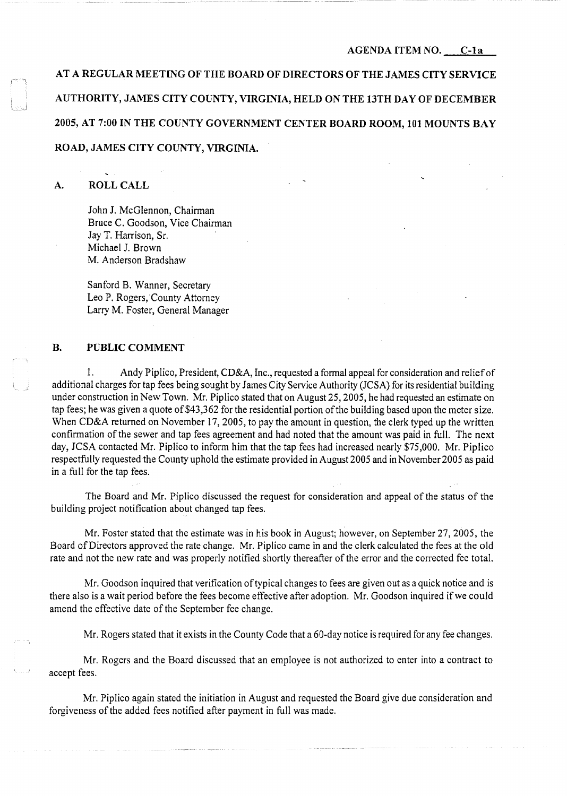**AT A REGULAR MEETING OF THE BOARD OF DIRECTORS OF THE JAMES CITY SERVICE AUTHORITY, JAMES CITY COUNTY, VIRGINIA, HELD ON THE 13TH DAY OF DECEMBER 2005, AT 7:00 IN THE COUNTY GOVERNMENT CENTER BOARD ROOM, 101 MOUNTS BAY ROAD, JAMES CITY COUNTY, VIRGINIA.** 

## **A. ROLL CALL**

John **J.** McGlennon, Chairman Bruce C. Goodson, Vice Chairman Jay T. Harrison, Sr. Michael J. Brown M. Anderson Bradshaw

Sanford B. Wanner, Secretary Leo P. Rogers, County Attorney Larry M. Foster, General Manager

# **B. PUBLIC COMMENT**

1. Andy Piplico, President, CD&A, Inc., requested a formal appeal for consideration and relief of additional charges for tap fees being sought by James City Service Authority (JCSA) for its residential building under construction in New Town. Mr. Piplico stated that on August 25, 2005, he had requested an estimate on tap fees; he was given a quote of \$43,362 for the residential portion of the building based upon the meter size. When CD&A returned on November 17, 2005, to pay the amount in question, the clerk typed up the written confirmation of the sewer and tap fees agreement and had noted that the amount was paid in full. The next day, JCSA contacted Mr. Piplico to inform him that the tap fees had increased nearly \$75,000. Mr. Piplico respectfully requested the County uphold the estimate provided in August 2005 and in November 2005 as paid in a full for the tap fees.

The Board and Mr. Piplico discussed the request for consideration and appeal of the status of the building project notification about changed tap fees.

Mr. Foster stated that the estimate was in his book in August; however, on September 27, 2005, the Board of Directors approved the rate change. Mr. Piplico came in and the clerk calculated the fees at the old rate and not the new rate and was properly notified shortly thereafter of the error and the corrected fee total.

Mr. Goodson inquired that verification of typical changes to fees are given out as a quick notice and is there also is a wait period before the fees become effective after adoption. Mr. Goodson inquired if we could amend the effective date of the September fee change.

Mr. Rogers stated that it exists in the County Code that a 60-day notice is required for any fee changes.

Mr. Rogers and the Board discussed that an employee is not authorized to enter into a contract to accept fees.

Mr. Piplico again stated the initiation in August and requested the Board give due consideration and forgiveness of the added fees notified after payment in full was made.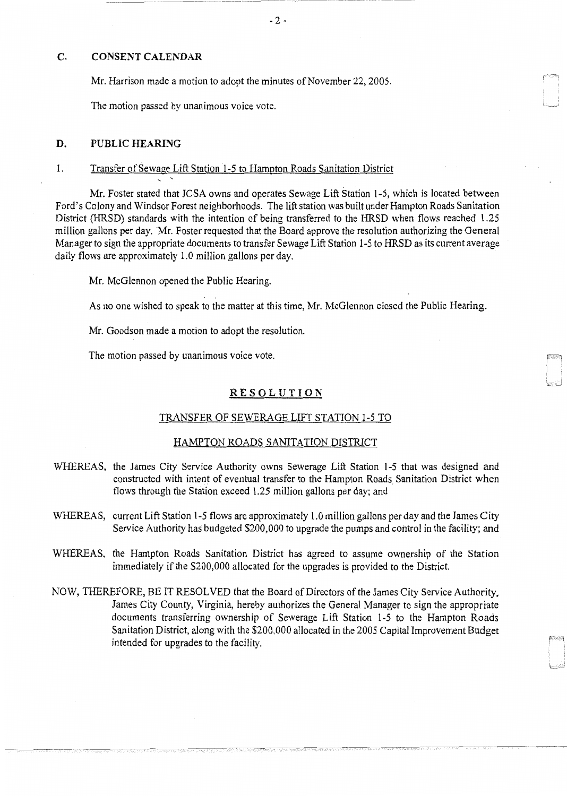## C. CONSENT CALENDAR

Mr. Harrison made a motion to adopt the minutes of November 22, 2005.

The motion passed by unanimous voice vote.

' '

#### D. PUBLIC HEARING

### 1. Transfer of Sewage Lift Station 1-5 to Hampton Roads Sanitation District

Mr. Foster stated that JCSA owns and operates Sewage Lift Station 1-5, which is located between Ford's Colony and Windsor Forest neighborhoods. The lift station was built under Hampton Roads Sanitation District (HRSD) standards with the intention of being transferred to the HRSD when flows reached 1.25 million gallons per day. Mr. Foster requested that the Board approve the resolution authorizing the General Manager to sign the appropriate documents to transfer Sewage Lift Station 1-5 to HRSD as its current average daily flows are approximately 1.0 million gallons per day.

Mr. McGlennon opened the Public Hearing.

As no one wished to speak to the matter at this time, Mr. McGlennon closed the Public Hearing.

Mr. Goodson made a motion to adopt the resolution.

The motion passed by unanimous voice vote.

#### **RESOLUTION**

### TRANSFER OF SEWERAGE LIFT STATION 1-5 TO

#### HAMPTON ROADS SANITATION DISTRICT

- WHEREAS, the James City Service Authority owns Sewerage Lift Station 1-5 that was designed and constructed with intent of eventual transfer to the Hampton Roads Sanitation District when flows through the Station exceed 1.25 million gallons per day; and
- WHEREAS, current Lift Station 1-5 flows are approximately 1.0 million gallons per day and the James City Service Authority has budgeted \$200,000 to upgrade the pumps and control in the facility; and
- WHEREAS, the Hampton Roads Sanitation District has agreed to assume ownership of the Station immediately if the \$200,000 allocated for the upgrades is provided to the District.
- NOW, THEREFORE, BE IT RESOLVED that the Board of Directors of the James City Service Authority, James City County, Virginia, hereby authorizes the General Manager to sign the appropriate documents transferring ownership of Sewerage Lift Station 1-5 to the Hampton Roads Sanitation District, along with the \$200,000 allocated in the 2005 Capital Improvement Budget intended for upgrades to the facility.

-------·- - -~~-------- ---

L .. J